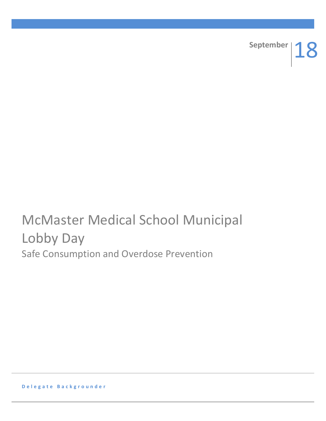

# McMaster Medical School Municipal Lobby Day Safe Consumption and Overdose Prevention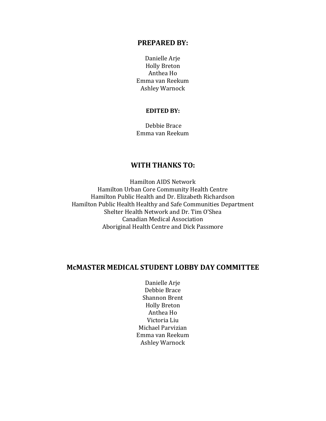#### **PREPARED BY:**

Danielle Arje Holly Breton Anthea Ho Emma van Reekum Ashley Warnock

#### **EDITED BY:**

Debbie Brace Emma van Reekum

# **WITH THANKS TO:**

Hamilton AIDS Network Hamilton Urban Core Community Health Centre Hamilton Public Health and Dr. Elizabeth Richardson Hamilton Public Health Healthy and Safe Communities Department Shelter Health Network and Dr. Tim O'Shea Canadian Medical Association Aboriginal Health Centre and Dick Passmore

# **McMASTER MEDICAL STUDENT LOBBY DAY COMMITTEE**

Danielle Arje Debbie Brace Shannon Brent Holly Breton Anthea Ho Victoria Liu Michael Parvizian Emma van Reekum Ashley Warnock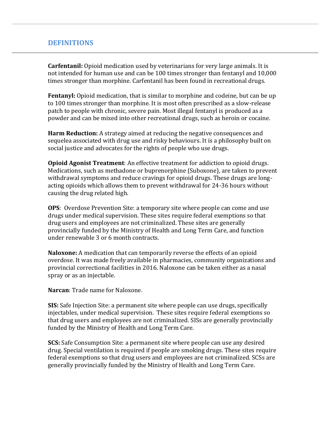# **DEFINITIONS**

**Carfentanil:** Opioid medication used by veterinarians for very large animals. It is not intended for human use and can be 100 times stronger than fentanyl and 10,000 times stronger than morphine. Carfentanil has been found in recreational drugs.

**Fentanyl:** Opioid medication, that is similar to morphine and codeine, but can be up to 100 times stronger than morphine. It is most often prescribed as a slow-release patch to people with chronic, severe pain. Most illegal fentanyl is produced as a powder and can be mixed into other recreational drugs, such as heroin or cocaine.

**Harm Reduction:** A strategy aimed at reducing the negative consequences and sequelea associated with drug use and risky behaviours. It is a philosophy built on social justice and advocates for the rights of people who use drugs.

**Opioid Agonist Treatment**: An effective treatment for addiction to opioid drugs. Medications, such as methadone or buprenorphine (Suboxone), are taken to prevent withdrawal symptoms and reduce cravings for opioid drugs. These drugs are longacting opioids which allows them to prevent withdrawal for 24-36 hours without causing the drug related high.

**OPS**: Overdose Prevention Site: a temporary site where people can come and use drugs under medical supervision. These sites require federal exemptions so that drug users and employees are not criminalized. These sites are generally provincially funded by the Ministry of Health and Long Term Care, and function under renewable 3 or 6 month contracts.

**Naloxone:** A medication that can temporarily reverse the effects of an opioid overdose. It was made freely available in pharmacies, community organizations and provincial correctional facilities in 2016. Naloxone can be taken either as a nasal spray or as an injectable.

**Narcan**: Trade name for Naloxone.

**SIS:** Safe Injection Site: a permanent site where people can use drugs, specifically injectables, under medical supervision. These sites require federal exemptions so that drug users and employees are not criminalized. SISs are generally provincially funded by the Ministry of Health and Long Term Care.

**SCS:** Safe Consumption Site: a permanent site where people can use any desired drug. Special ventilation is required if people are smoking drugs. These sites require federal exemptions so that drug users and employees are not criminalized. SCSs are generally provincially funded by the Ministry of Health and Long Term Care.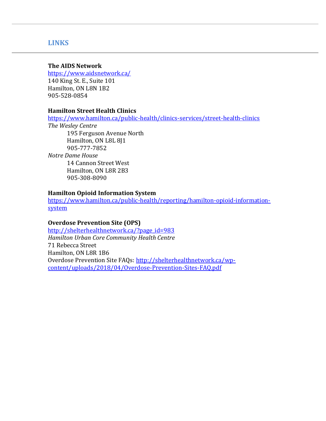# **LINKS**

#### **The AIDS Network**

<https://www.aidsnetwork.ca/>

140 King St. E., Suite 101 Hamilton, ON L8N 1B2 905-528-0854

#### **Hamilton Street Health Clinics**

<https://www.hamilton.ca/public-health/clinics-services/street-health-clinics> *The Wesley Centre*

195 Ferguson Avenue North Hamilton, ON L8L 8J1 905-777-7852 *Notre Dame House* 14 Cannon Street West Hamilton, ON L8R 2B3 905-308-8090

## **Hamilton Opioid Information System**

[https://www.hamilton.ca/public-health/reporting/hamilton-opioid-information](https://www.hamilton.ca/public-health/reporting/hamilton-opioid-information-system)[system](https://www.hamilton.ca/public-health/reporting/hamilton-opioid-information-system)

## **Overdose Prevention Site (OPS)**

[http://shelterhealthnetwork.ca/?page\\_id=983](http://shelterhealthnetwork.ca/?page_id=983) *Hamilton Urban Core Community Health Centre* 71 Rebecca Street Hamilton, ON L8R 1B6 Overdose Prevention Site FAQs: [http://shelterhealthnetwork.ca/wp](http://shelterhealthnetwork.ca/wp-content/uploads/2018/04/Overdose-Prevention-Sites-FAQ.pdf)[content/uploads/2018/04/Overdose-Prevention-Sites-FAQ.pdf](http://shelterhealthnetwork.ca/wp-content/uploads/2018/04/Overdose-Prevention-Sites-FAQ.pdf)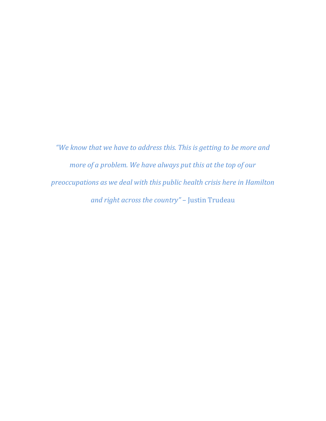*"We know that we have to address this. This is getting to be more and more of a problem. We have always put this at the top of our preoccupations as we deal with this public health crisis here in Hamilton and right across the country"* – Justin Trudeau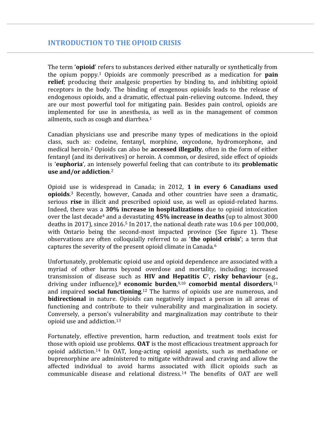The term '**opioid**' refers to substances derived either naturally or synthetically from the opium poppy.<sup>1</sup> Opioids are commonly prescribed as a medication for **pain relief**; producing their analgesic properties by binding to, and inhibiting opioid receptors in the body. The binding of exogenous opioids leads to the release of endogenous opioids, and a dramatic, effectual pain-relieving outcome. Indeed, they are our most powerful tool for mitigating pain. Besides pain control, opioids are implemented for use in anesthesia, as well as in the management of common ailments, such as cough and diarrhea.<sup>1</sup>

Canadian physicians use and prescribe many types of medications in the opioid class, such as: codeine, fentanyl, morphine, oxycodone, hydromorphone, and medical heroin.<sup>2</sup> Opioids can also be **accessed illegally**, often in the form of either fentanyl (and its derivatives) or heroin. A common, or desired, side effect of opioids is '**euphoria**', an intensely powerful feeling that can contribute to its **problematic use and/or addiction**. 2

Opioid use is widespread in Canada; in 2012, **1 in every 6 Canadians used opioids**. <sup>3</sup> Recently, however, Canada and other countries have seen a dramatic, serious **rise** in illicit and prescribed opioid use, as well as opioid-related harms. Indeed, there was a **30% increase in hospitalizations** due to opioid intoxication over the last decade<sup>4</sup> and a devastating **45% increase in deaths** (up to almost 3000 deaths in 2017), since 2016. <sup>5</sup> In 2017, the national death rate was 10.6 per 100,000, with Ontario being the second-most impacted province (See figure 1). These observations are often colloquially referred to as '**the opioid crisis'**; a term that captures the severity of the present opioid climate in Canada.<sup>6</sup>

Unfortunately, problematic opioid use and opioid dependence are associated with a myriad of other harms beyond overdose and mortality, including: increased transmission of disease such as **HIV and Hepatitis C**7, **risky behaviour** (e.g., driving under influence), <sup>8</sup> **economic burden**, 9,10 **comorbid mental disorders**, 11 and impaired **social functioning**. <sup>12</sup> The harms of opioids use are numerous, and **bidirectional** in nature. Opioids can negatively impact a person in all areas of functioning and contribute to their vulnerability and marginalization in society. Conversely, a person's vulnerability and marginalization may contribute to their opioid use and addiction.<sup>13</sup>

Fortunately, effective prevention, harm reduction, and treatment tools exist for those with opioid use problems. **OAT** is the most efficacious treatment approach for opioid addiction. <sup>14</sup> In OAT, long-acting opioid agonists, such as methadone or buprenorphine are administered to mitigate withdrawal and craving and allow the affected individual to avoid harms associated with illicit opioids such as communicable disease and relational distress.<sup>14</sup> The benefits of OAT are well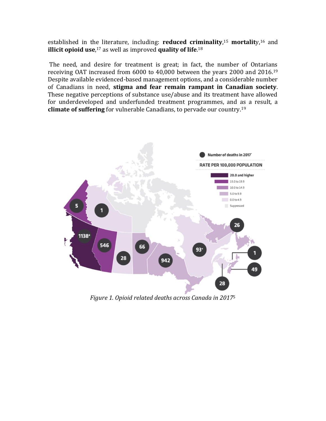established in the literature, including: **reduced criminality**, <sup>15</sup> **mortalit**y, <sup>16</sup> and **illicit opioid use**, <sup>17</sup> as well as improved **quality of life**. 18

The need, and desire for treatment is great; in fact, the number of Ontarians receiving OAT increased from 6000 to 40,000 between the years 2000 and 2016.<sup>19</sup> Despite available evidenced-based management options, and a considerable number of Canadians in need, **stigma and fear remain rampant in Canadian society**. These negative perceptions of substance use/abuse and its treatment have allowed for underdeveloped and underfunded treatment programmes, and as a result, a **climate of suffering** for vulnerable Canadians, to pervade our country.<sup>19</sup>



*Figure 1. Opioid related deaths across Canada in 2017*<sup>5</sup>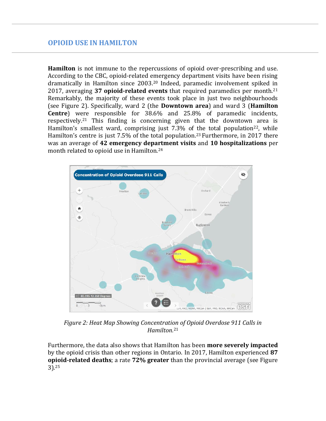**Hamilton** is not immune to the repercussions of opioid over-prescribing and use. According to the CBC, opioid-related emergency department visits have been rising dramatically in Hamilton since 2003.<sup>20</sup> Indeed, paramedic involvement spiked in 2017, averaging **37 opioid-related events** that required paramedics per month.<sup>21</sup> Remarkably, the majority of these events took place in just two neighbourhoods (see Figure 2). Specifically, ward 2 (the **Downtown area**) and ward 3 (**Hamilton Centre**) were responsible for 38.6% and 25.8% of paramedic incidents, respectively.<sup>21</sup> This finding is concerning given that the downtown area is Hamilton's smallest ward, comprising just  $7.3\%$  of the total population<sup>22</sup>, while Hamilton's centre is just 7.5% of the total population.<sup>23</sup> Furthermore, in 2017 there was an average of **42 emergency department visits** and **10 hospitalizations** per month related to opioid use in Hamilton.<sup>24</sup>



*Figure 2: Heat Map Showing Concentration of Opioid Overdose 911 Calls in Hamilton.* 21

Furthermore, the data also shows that Hamilton has been **more severely impacted** by the opioid crisis than other regions in Ontario. In 2017, Hamilton experienced **87 opioid-related deaths**; a rate **72% greater** than the provincial average (see Figure 3).25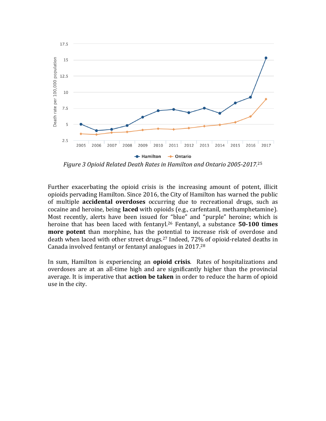

*Figure 3 Opioid Related Death Rates in Hamilton and Ontario 2005-2017.* 25

Further exacerbating the opioid crisis is the increasing amount of potent, illicit opioids pervading Hamilton. Since 2016, the City of Hamilton has warned the public of multiple **accidental overdoses** occurring due to recreational drugs, such as cocaine and heroine, being **laced** with opioids (e.g., carfentanil, methamphetamine). Most recently, alerts have been issued for "blue" and "purple" heroine; which is heroine that has been laced with fentanyl.<sup>26</sup> Fentanyl, a substance **50-100 times more potent** than morphine, has the potential to increase risk of overdose and death when laced with other street drugs.<sup>27</sup> Indeed, 72% of opioid-related deaths in Canada involved fentanyl or fentanyl analogues in 2017. 28

In sum, Hamilton is experiencing an **opioid crisis**. Rates of hospitalizations and overdoses are at an all-time high and are significantly higher than the provincial average. It is imperative that **action be taken** in order to reduce the harm of opioid use in the city.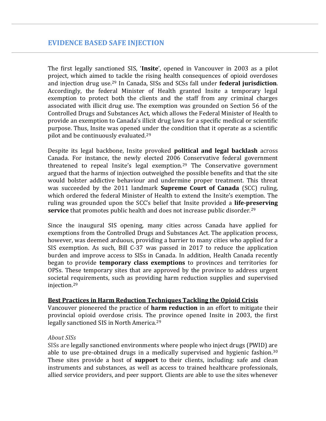The first legally sanctioned SIS, '**Insite**', opened in Vancouver in 2003 as a pilot project, which aimed to tackle the rising health consequences of opioid overdoses and injection drug use.<sup>29</sup> In Canada, SISs and SCSs fall under **federal jurisdiction**. Accordingly, the federal Minister of Health granted Insite a temporary legal exemption to protect both the clients and the staff from any criminal charges associated with illicit drug use. The exemption was grounded on Section 56 of the Controlled Drugs and Substances Act, which allows the Federal Minister of Health to provide an exemption to Canada's illicit drug laws for a specific medical or scientific purpose. Thus, Insite was opened under the condition that it operate as a scientific pilot and be continuously evaluated.<sup>29</sup>

Despite its legal backbone, Insite provoked **political and legal backlash** across Canada. For instance, the newly elected 2006 Conservative federal government threatened to repeal Insite's legal exemption.<sup>29</sup> The Conservative government argued that the harms of injection outweighed the possible benefits and that the site would bolster addictive behaviour and undermine proper treatment. This threat was succeeded by the 2011 landmark **Supreme Court of Canada** (SCC) ruling, which ordered the federal Minister of Health to extend the Insite's exemption. The ruling was grounded upon the SCC's belief that Insite provided a **life-preserving service** that promotes public health and does not increase public disorder.<sup>29</sup>

Since the inaugural SIS opening, many cities across Canada have applied for exemptions from the Controlled Drugs and Substances Act. The application process, however, was deemed arduous, providing a barrier to many cities who applied for a SIS exemption. As such, Bill C-37 was passed in 2017 to reduce the application burden and improve access to SISs in Canada. In addition, Health Canada recently began to provide **temporary class exemptions** to provinces and territories for OPSs. These temporary sites that are approved by the province to address urgent societal requirements, such as providing harm reduction supplies and supervised injection.<sup>29</sup>

#### **Best Practices in Harm Reduction Techniques Tackling the Opioid Crisis**

Vancouver pioneered the practice of **harm reduction** in an effort to mitigate their provincial opioid overdose crisis. The province opened Insite in 2003, the first legally sanctioned SIS in North America.<sup>29</sup>

#### *About SISs*

SISs are legally sanctioned environments where people who inject drugs (PWID) are able to use pre-obtained drugs in a medically supervised and hygienic fashion.<sup>30</sup> These sites provide a host of **support** to their clients, including: safe and clean instruments and substances, as well as access to trained healthcare professionals, allied service providers, and peer support. Clients are able to use the sites whenever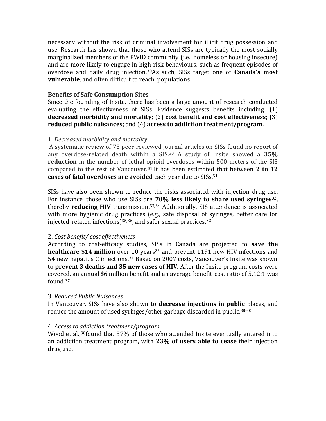necessary without the risk of criminal involvement for illicit drug possession and use. Research has shown that those who attend SISs are typically the most socially marginalized members of the PWID community (i.e., homeless or housing insecure) and are more likely to engage in high-risk behaviours, such as frequent episodes of overdose and daily drug injection.30As such, SISs target one of **Canada's most vulnerable**, and often difficult to reach, populations.

## **Benefits of Safe Consumption Sites**

Since the founding of Insite, there has been a large amount of research conducted evaluating the effectiveness of SISs. Evidence suggests benefits including: (1) **decreased morbidity and mortality**; (2) **cost benefit and cost effectiveness**; (3) **reduced public nuisances**; and (4) **access to addiction treatment/program**.

#### 1. *Decreased morbidity and mortality*

A systematic review of 75 peer-reviewed journal articles on SISs found no report of any overdose-related death within a SIS.<sup>30</sup> A study of Insite showed a **35% reduction** in the number of lethal opioid overdoses within 500 meters of the SIS compared to the rest of Vancouver.<sup>31</sup> It has been estimated that between **2 to 12 cases of fatal overdoses are avoided** each year due to SISs. 31

SISs have also been shown to reduce the risks associated with injection drug use. For instance, those who use SISs are **70% less likely to share used syringes**32, thereby **reducing HIV** transmission.33,34 Additionally, SIS attendance is associated with more hygienic drug practices (e.g., safe disposal of syringes, better care for injected-related infections) $35,36$ , and safer sexual practices. $32$ 

# 2. *Cost benefit/ cost effectiveness*

According to cost-efficacy studies, SISs in Canada are projected to **save the healthcare \$14 million** over 10 years<sup>33</sup> and prevent 1191 new HIV infections and 54 new hepatitis C infections.<sup>34</sup> Based on 2007 costs, Vancouver's Insite was shown to **prevent 3 deaths and 35 new cases of HIV**. After the Insite program costs were covered, an annual \$6 million benefit and an average benefit-cost ratio of 5.12:1 was found. 37

# 3. *Reduced Public Nuisances*

In Vancouver, SISs have also shown to **decrease injections in public** places, and reduce the amount of used syringes/other garbage discarded in public.38-40

# 4. *Access to addiction treatment/program*

Wood et al.,<sup>38</sup>found that 57% of those who attended Insite eventually entered into an addiction treatment program, with **23% of users able to cease** their injection drug use.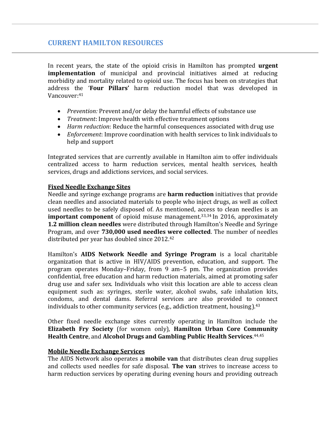# **CURRENT HAMILTON RESOURCES**

In recent years, the state of the opioid crisis in Hamilton has prompted **urgent implementation** of municipal and provincial initiatives aimed at reducing morbidity and mortality related to opioid use. The focus has been on strategies that address the '**Four Pillars'** harm reduction model that was developed in Vancouver:<sup>41</sup>

- *Prevention:* Prevent and/or delay the harmful effects of substance use
- *Treatment*: Improve health with effective treatment options
- *Harm reduction*: Reduce the harmful consequences associated with drug use
- *Enforcement*: Improve coordination with health services to link individuals to help and support

Integrated services that are currently available in Hamilton aim to offer individuals centralized access to harm reduction services, mental health services, health services, drugs and addictions services, and social services.

# **Fixed Needle Exchange Sites**

Needle and syringe exchange programs are **harm reduction** initiatives that provide clean needles and associated materials to people who inject drugs, as well as collect used needles to be safely disposed of. As mentioned, access to clean needles is an **important component** of opioid misuse management.<sup>33,34</sup> In 2016, approximately **1.2 million clean needles** were distributed through Hamilton's Needle and Syringe Program, and over **730,000 used needles were collected**. The number of needles distributed per year has doubled since 2012.<sup>42</sup>

Hamilton's **AIDS Network Needle and Syringe Program** is a local charitable organization that is active in HIV/AIDS prevention, education, and support. The program operates Monday–Friday, from 9 am–5 pm. The organization provides confidential, free education and harm reduction materials, aimed at promoting safer drug use and safer sex. Individuals who visit this location are able to access clean equipment such as: syringes, sterile water, alcohol swabs, safe inhalation kits, condoms, and dental dams. Referral services are also provided to connect individuals to other community services (e.g., addiction treatment, housing).<sup>43</sup>

Other fixed needle exchange sites currently operating in Hamilton include the **Elizabeth Fry Society** (for women only), **Hamilton Urban Core Community Health Centre**, and **Alcohol Drugs and Gambling Public Health Services**. 44,45

#### **Mobile Needle Exchange Services**

The AIDS Network also operates a **mobile van** that distributes clean drug supplies and collects used needles for safe disposal. **The van** strives to increase access to harm reduction services by operating during evening hours and providing outreach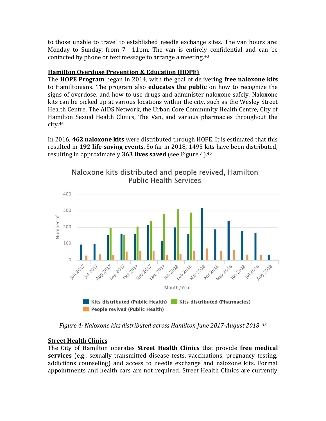to those unable to travel to established needle exchange sites. The van hours are: Monday to Sunday, from 7—11pm. The van is entirely confidential and can be contacted by phone or text message to arrange a meeting.<sup>43</sup>

# **Hamilton Overdose Prevention & Education (HOPE)**

The **HOPE Program** began in 2014, with the goal of delivering **free naloxone kits** to Hamiltonians. The program also **educates the public** on how to recognize the signs of overdose, and how to use drugs and administer naloxone safely. Naloxone kits can be picked up at various locations within the city, such as the Wesley Street Health Centre, The AIDS Network, the Urban Core Community Health Centre, City of Hamilton Sexual Health Clinics, The Van, and various pharmacies throughout the city.<sup>46</sup>

In 2016, **462 naloxone kits** were distributed through HOPE. It is estimated that this resulted in **192 life-saving events**. So far in 2018, 1495 kits have been distributed, resulting in approximately **363 lives saved** (see Figure 4).<sup>46</sup>



Naloxone kits distributed and people revived, Hamilton **Public Health Services** 

*Figure 4: Naloxone kits distributed across Hamilton June 2017-August 2018 . 46*

# **Street Health Clinics**

The City of Hamilton operates **Street Health Clinics** that provide **free medical services** (e.g., sexually transmitted disease tests, vaccinations, pregnancy testing, addictions counseling) and access to needle exchange and naloxone kits. Formal appointments and health cars are not required. Street Health Clinics are currently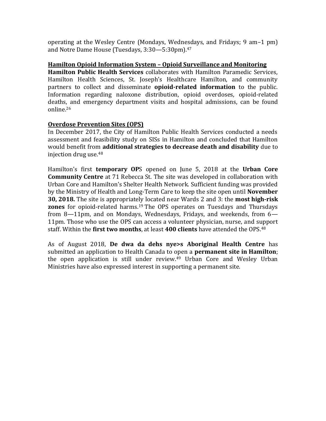operating at the Wesley Centre (Mondays, Wednesdays, and Fridays; 9 am–1 pm) and Notre Dame House (Tuesdays, 3:30—5:30pm).<sup>47</sup>

#### **Hamilton Opioid Information System – Opioid Surveillance and Monitoring**

**Hamilton Public Health Services** collaborates with Hamilton Paramedic Services, Hamilton Health Sciences, St. Joseph's Healthcare Hamilton, and community partners to collect and disseminate **opioid-related information** to the public. Information regarding naloxone distribution, opioid overdoses, opioid-related deaths, and emergency department visits and hospital admissions, can be found online.<sup>26</sup>

## **Overdose Prevention Sites (OPS)**

In December 2017, the City of Hamilton Public Health Services conducted a needs assessment and feasibility study on SISs in Hamilton and concluded that Hamilton would benefit from **additional strategies to decrease death and disability** due to injection drug use.<sup>48</sup>

Hamilton's first **temporary OP**S opened on June 5, 2018 at the **Urban Core Community Centre** at 71 Rebecca St. The site was developed in collaboration with Urban Core and Hamilton's Shelter Health Network. Sufficient funding was provided by the Ministry of Health and Long-Term Care to keep the site open until **November 30, 2018.** The site is appropriately located near Wards 2 and 3: the **most high-risk zones** for opioid-related harms.<sup>19</sup> The OPS operates on Tuesdays and Thursdays from 8—11pm, and on Mondays, Wednesdays, Fridays, and weekends, from 6— 11pm. Those who use the OPS can access a volunteer physician, nurse, and support staff. Within the **first two months**, at least **400 clients** have attended the OPS.<sup>48</sup>

As of August 2018, **De dwa da dehs nye>s Aboriginal Health Centre** has submitted an application to Health Canada to open a **permanent site in Hamilton**; the open application is still under review. <sup>49</sup> Urban Core and Wesley Urban Ministries have also expressed interest in supporting a permanent site.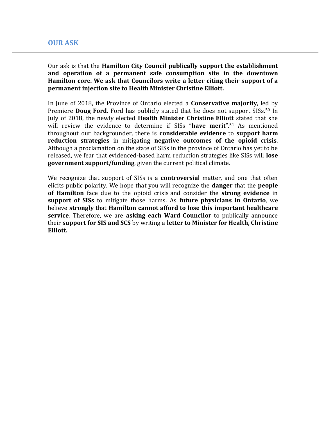# **OUR ASK**

Our ask is that the **Hamilton City Council publically support the establishment and operation of a permanent safe consumption site in the downtown Hamilton core. We ask that Councilors write a letter citing their support of a permanent injection site to Health Minister Christine Elliott.** 

In June of 2018, the Province of Ontario elected a **Conservative majority**, led by Premiere **Doug Ford**. Ford has publicly stated that he does not support SISs.<sup>50</sup> In July of 2018, the newly elected **Health Minister Christine Elliott** stated that she will review the evidence to determine if SISs "**have merit**". <sup>51</sup> As mentioned throughout our backgrounder, there is **considerable evidence** to **support harm reduction strategies** in mitigating **negative outcomes of the opioid crisis**. Although a proclamation on the state of SISs in the province of Ontario has yet to be released, we fear that evidenced-based harm reduction strategies like SISs will **lose government support/funding**, given the current political climate.

We recognize that support of SISs is a **controversia**l matter, and one that often elicits public polarity. We hope that you will recognize the **danger** that the **people of Hamilton** face due to the opioid crisis and consider the **strong evidence** in **support of SISs** to mitigate those harms. As **future physicians in Ontario**, we believe **strongly** that **Hamilton cannot afford to lose this important healthcare service**. Therefore, we are **asking each Ward Councilor** to publically announce their **support for SIS and SCS** by writing a **letter to Minister for Health, Christine Elliott.**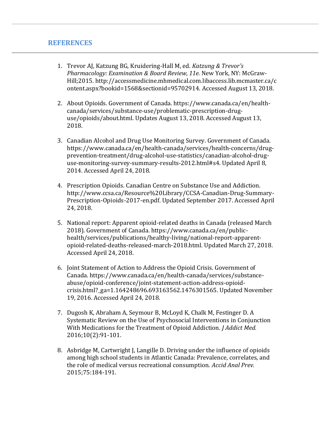# **REFERENCES**

- 1. Trevor AJ, Katzung BG, Kruidering-Hall M, ed. *Katzung & Trevor's Pharmacology: Examination & Board Review, 11e.* New York, NY: McGraw-Hill;2015. http://accessmedicine.mhmedical.com.libaccess.lib.mcmaster.ca/c ontent.aspx?bookid=1568&sectionid=95702914. Accessed August 13, 2018.
- 2. About Opioids. Government of Canada. https://www.canada.ca/en/healthcanada/services/substance-use/problematic-prescription-druguse/opioids/about.html. Updates August 13, 2018. Accessed August 13, 2018.
- 3. Canadian Alcohol and Drug Use Monitoring Survey. Government of Canada. https://www.canada.ca/en/health-canada/services/health-concerns/drugprevention-treatment/drug-alcohol-use-statistics/canadian-alcohol-druguse-monitoring-survey-summary-results-2012.html#s4. Updated April 8, 2014. Accessed April 24, 2018.
- 4. Prescription Opioids. Canadian Centre on Substance Use and Addiction. http://www.ccsa.ca/Resource%20Library/CCSA-Canadian-Drug-Summary-Prescription-Opioids-2017-en.pdf. Updated September 2017. Accessed April 24, 2018.
- 5. National report: Apparent opioid-related deaths in Canada (released March 2018). Government of Canada. https://www.canada.ca/en/publichealth/services/publications/healthy-living/national-report-apparentopioid-related-deaths-released-march-2018.html. Updated March 27, 2018. Accessed April 24, 2018.
- 6. Joint Statement of Action to Address the Opioid Crisis. Government of Canada. https://www.canada.ca/en/health-canada/services/substanceabuse/opioid-conference/joint-statement-action-address-opioidcrisis.html?\_ga=1.164248696.693163562.1476301565. Updated November 19, 2016. Accessed April 24, 2018.
- 7. Dugosh K, Abraham A, Seymour B, McLoyd K, Chalk M, Festinger D. A Systematic Review on the Use of Psychosocial Interventions in Conjunction With Medications for the Treatment of Opioid Addiction. *J Addict Med.* 2016;10(2):91-101.
- 8. Asbridge M, Cartwright J, Langille D. Driving under the influence of opioids among high school students in Atlantic Canada: Prevalence, correlates, and the role of medical versus recreational consumption. *Accid Anal Prev.* 2015;75:184-191.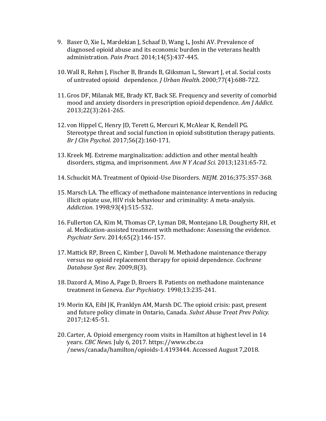- 9. Baser O, Xie L, Mardekian J, Schaaf D, Wang L, Joshi AV. Prevalence of diagnosed opioid abuse and its economic burden in the veterans health administration. *Pain Pract.* 2014;14(5):437-445.
- 10. Wall R, Rehm J, Fischer B, Brands B, Gliksman L, Stewart J, et al. Social costs of untreated opioid dependence. *J Urban Health*. 2000;77(4):688-722.
- 11. Gros DF, Milanak ME, Brady KT, Back SE. Frequency and severity of comorbid mood and anxiety disorders in prescription opioid dependence. *Am J Addict.* 2013;22(3):261-265.
- 12. von Hippel C, Henry JD, Terett G, Mercuri K, McAlear K, Rendell PG. Stereotype threat and social function in opioid substitution therapy patients. *Br J Clin Psychol.* 2017;56(2):160-171.
- 13. Kreek MJ. Extreme marginalization: addiction and other mental health disorders, stigma, and imprisonment. *Ann N Y Acad Sci.* 2013;1231:65-72.
- 14.Schuckit MA. Treatment of Opioid-Use Disorders. *NEJM.* 2016;375:357-368.
- 15. Marsch LA. The efficacy of methadone maintenance interventions in reducing illicit opiate use, HIV risk behaviour and criminality: A meta-analysis. *Addiction*. 1998;93(4):515-532.
- 16. Fullerton CA, Kim M, Thomas CP, Lyman DR, Montejano LB, Dougherty RH, et al. Medication-assisted treatment with methadone: Assessing the evidence. *Psychiatr Serv*. 2014;65(2):146-157.
- 17. Mattick RP, Breen C, Kimber J, Davoli M. Methadone maintenance therapy versus no opioid replacement therapy for opioid dependence. *Cochrane Database Syst Rev.* 2009;8(3).
- 18. Dazord A, Mino A, Page D, Broers B. Patients on methadone maintenance treatment in Geneva. *Eur Psychiatry.* 1998;13:235-241.
- 19. Morin KA, Eibl JK, Franklyn AM, Marsh DC. The opioid crisis: past, present and future policy climate in Ontario, Canada. *Subst Abuse Treat Prev Policy.* 2017;12:45-51.
- 20. Carter, A. Opioid emergency room visits in Hamilton at highest level in 14 years. *CBC News.* July 6, 2017. [https://www.cbc.ca](https://www.cbc.ca-/news/canada/hamilton/opioids-1.4193444)  [/news/canada/hamilton/opioids-1.4193444.](https://www.cbc.ca-/news/canada/hamilton/opioids-1.4193444) Accessed August 7,2018.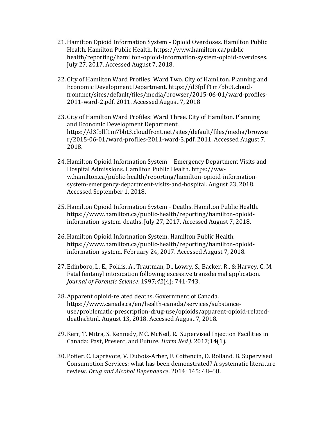- 21.Hamilton Opioid Information System Opioid Overdoses. Hamilton Public Health. Hamilton Public Health. [https://www.hamilton.ca/public](https://www.hamilton.ca/public-health/reporting/hamilton-opioid-information-system-opioid-overdoses)[health/reporting/hamilton-opioid-information-system-opioid-overdoses.](https://www.hamilton.ca/public-health/reporting/hamilton-opioid-information-system-opioid-overdoses)  July 27, 2017. Accessed August 7, 2018.
- 22. City of Hamilton Ward Profiles: Ward Two. City of Hamilton. Planning and Economic Development Department. [https://d3fpllf1m7bbt3.cloud](https://d3fpllf1m7bbt3.cloud-front.net/sites/default/files/media/browser/2015-06-01/ward-profiles-2011-ward-2.pdf)[front.net/sites/default/files/media/browser/2015-06-01/ward-profiles-](https://d3fpllf1m7bbt3.cloud-front.net/sites/default/files/media/browser/2015-06-01/ward-profiles-2011-ward-2.pdf)[2011-ward-2.pdf.](https://d3fpllf1m7bbt3.cloud-front.net/sites/default/files/media/browser/2015-06-01/ward-profiles-2011-ward-2.pdf) 2011. Accessed August 7, 2018
- 23. City of Hamilton Ward Profiles: Ward Three. City of Hamilton. Planning and Economic Development Department. [https://d3fpllf1m7bbt3.cloudfront.net/sites/default/files/media/browse](https://d3fpllf1m7bbt3.cloudfront.net/sites/default/files/media/browser/2015-06-01/ward-profiles-2011-ward-3.pdf) [r/2015-06-01/ward-profiles-2011-ward-3.pdf.](https://d3fpllf1m7bbt3.cloudfront.net/sites/default/files/media/browser/2015-06-01/ward-profiles-2011-ward-3.pdf) 2011. Accessed August 7, 2018.
- 24.Hamilton Opioid Information System Emergency Department Visits and Hospital Admissions. Hamilton Public Health. [https://ww](https://ww-w.hamilton.ca/public-health/reporting/hamilton-opioid-information-system-emergency-department-visits-and-hospital)[w.hamilton.ca/public-health/reporting/hamilton-opioid-information](https://ww-w.hamilton.ca/public-health/reporting/hamilton-opioid-information-system-emergency-department-visits-and-hospital)[system-emergency-department-visits-and-hospital.](https://ww-w.hamilton.ca/public-health/reporting/hamilton-opioid-information-system-emergency-department-visits-and-hospital) August 23, 2018. Accessed September 1, 2018.
- 25.Hamilton Opioid Information System Deaths. Hamilton Public Health. [https://www.hamilton.ca/public-health/reporting/hamilton-opioid](https://www.hamilton.ca/public-health/reporting/hamilton-opioid-information-system-deaths)[information-system-deaths.](https://www.hamilton.ca/public-health/reporting/hamilton-opioid-information-system-deaths) July 27, 2017. Accessed August 7, 2018.
- 26.Hamilton Opioid Information System. Hamilton Public Health. [https://www.hamilton.ca/public-health/reporting/hamilton-opioid](https://www.hamilton.ca/public-health/reporting/hamilton-opioid-information-system)[information-system.](https://www.hamilton.ca/public-health/reporting/hamilton-opioid-information-system) February 24, 2017. Accessed August 7, 2018.
- 27. Edinboro, L. E., Poklis, A., Trautman, D., Lowry, S., Backer, R., & Harvey, C. M. Fatal fentanyl intoxication following excessive transdermal application. *Journal of Forensic Science*. 1997;*42*(4): 741-743.
- 28. Apparent opioid-related deaths. Government of Canada. [https://www.canada.ca/en/health-canada/services/substance](https://www.canada.ca/en/health-canada/services/substance-use/problematic-prescription-drug-use/opioids/apparent-opioid-related-deaths.html)[use/problematic-prescription-drug-use/opioids/apparent-opioid-related](https://www.canada.ca/en/health-canada/services/substance-use/problematic-prescription-drug-use/opioids/apparent-opioid-related-deaths.html)[deaths.html.](https://www.canada.ca/en/health-canada/services/substance-use/problematic-prescription-drug-use/opioids/apparent-opioid-related-deaths.html) August 13, 2018. Accessed August 7, 2018.
- 29. Kerr, T. Mitra, S. Kennedy, MC. McNeil, R. Supervised Injection Facilities in Canada: Past, Present, and Future. *Harm Red J*. 2017;14(1).
- 30. Potier, C. Laprévote, V. Dubois-Arber, F. Cottencin, O. Rolland, B. Supervised Consumption Services: what has been demonstrated? A systematic literature review. *Drug and Alcohol Dependence*. 2014; 145: 48–68.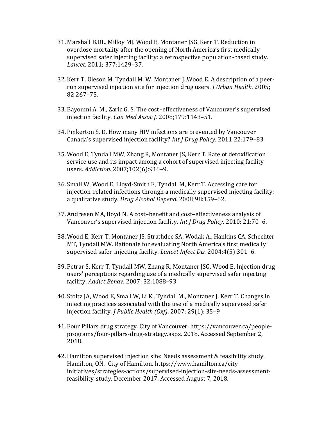- 31. Marshall B.DL. Milloy MJ. Wood E. Montaner JSG. Kerr T. Reduction in overdose mortality after the opening of North America's first medically supervised safer injecting facility: a retrospective population-based study. *Lancet.* 2011; 377:1429–37.
- 32. Kerr T. Oleson M. Tyndall M. W. Montaner J.,Wood E. A description of a peerrun supervised injection site for injection drug users. *J Urban Health.* 2005; 82:267–75.
- 33. Bayoumi A. M., Zaric G. S. The cost–effectiveness of Vancouver's supervised injection facility. *Can Med Assoc J.* 2008;179:1143–51.
- 34. Pinkerton S. D. How many HIV infections are prevented by Vancouver Canada's supervised injection facility? *Int J Drug Policy.* 2011;22:179–83.
- 35. Wood E, Tyndall MW, Zhang R, Montaner JS, Kerr T. Rate of detoxification service use and its impact among a cohort of supervised injecting facility users. *Addiction.* 2007;102(6):916–9.
- 36.Small W, Wood E, Lloyd-Smith E, Tyndall M, Kerr T. Accessing care for injection-related infections through a medically supervised injecting facility: a qualitative study. *Drug Alcohol Depend.* 2008;98:159–62.
- 37. Andresen MA, Boyd N. A cost–benefit and cost–effectiveness analysis of Vancouver's supervised injection facility. *Int J Drug Policy*. 2010; 21:70–6.
- 38. Wood E, Kerr T, Montaner JS, Strathdee SA, Wodak A., Hankins CA, Schechter MT, Tyndall MW. Rationale for evaluating North America's first medically supervised safer-injecting facility. *Lancet Infect Dis.* 2004;4(5):301–6.
- 39. Petrar S, Kerr T, Tyndall MW, Zhang R, Montaner JSG, Wood E. Injection drug users' perceptions regarding use of a medically supervised safer injecting facility. *Addict Behav.* 2007; 32:1088–93
- 40.Stoltz JA, Wood E, Small W, Li K., Tyndall M., Montaner J. Kerr T. Changes in injecting practices associated with the use of a medically supervised safer injection facility. *J Public Health (Oxf)*. 2007; 29(1): 35–9
- 41. Four Pillars drug strategy. City of Vancouver. [https://vancouver.ca/people](https://vancouver.ca/people-programs/four-pillars-drug-strategy.aspx)[programs/four-pillars-drug-strategy.aspx.](https://vancouver.ca/people-programs/four-pillars-drug-strategy.aspx) 2018. Accessed September 2, 2018.
- 42.Hamilton supervised injection site: Needs assessment & feasibility study. Hamilton, ON. City of Hamilton. [https://www.hamilton.ca/city](https://www.hamilton.ca/city-initiatives/strategies-actions/supervised-injection-site-needs-assessment-feasibility-study)[initiatives/strategies-actions/supervised-injection-site-needs-assessment](https://www.hamilton.ca/city-initiatives/strategies-actions/supervised-injection-site-needs-assessment-feasibility-study)[feasibility-study.](https://www.hamilton.ca/city-initiatives/strategies-actions/supervised-injection-site-needs-assessment-feasibility-study) December 2017. Accessed August 7, 2018.